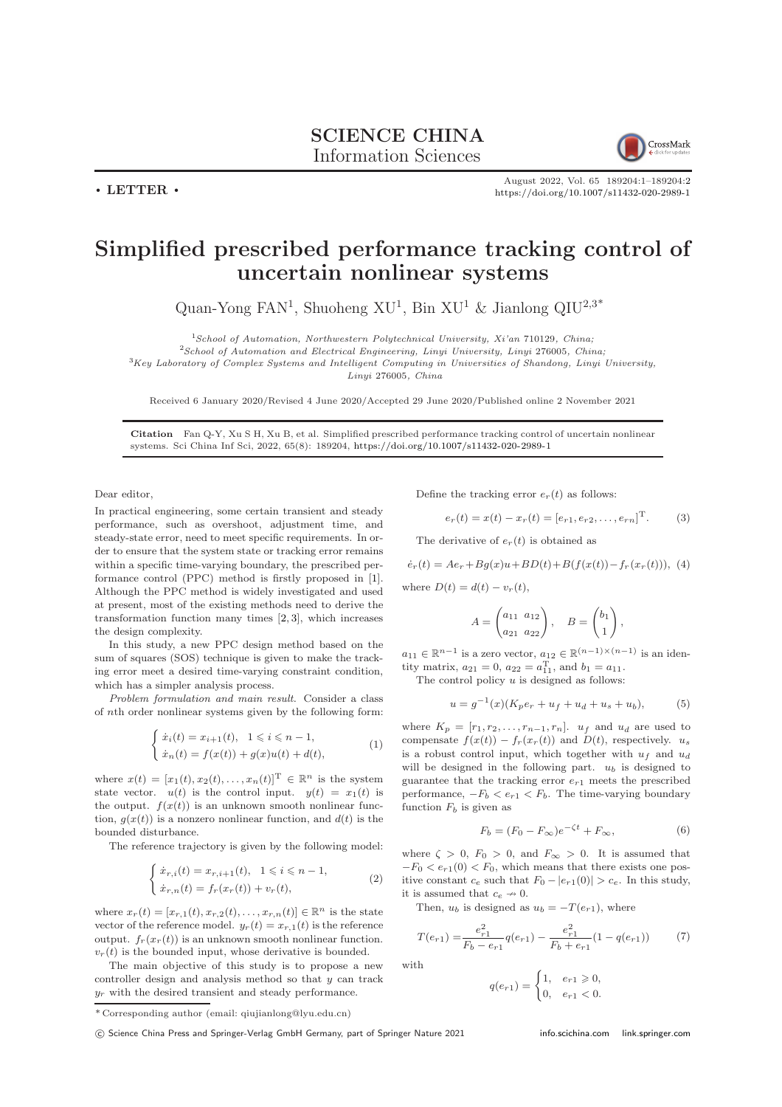$\cdot$  LETTER  $\cdot$ 



August 2022, Vol. 65 189204:1–189204[:2](#page-1-0) <https://doi.org/10.1007/s11432-020-2989-1>

## Simplified prescribed performance tracking control of uncertain nonlinear systems

Quan-Yong FAN<sup>1</sup>, Shuoheng XU<sup>1</sup>, Bin XU<sup>1</sup> & Jianlong QIU<sup>2,3\*</sup>

 $1$ School of Automation, Northwestern Polytechnical University, Xi'an 710129, China;

 $2$ School of Automation and Electrical Engineering, Linyi University, Linyi 276005, China;

 $3Key Laboratory$  of Complex Systems and Intelligent Computing in Universities of Shandong, Linyi University,

Linyi 276005, China

Received 6 January 2020/Revised 4 June 2020/Accepted 29 June 2020/Published online 2 November 2021

Citation Fan Q-Y, Xu S H, Xu B, et al. Simplified prescribed performance tracking control of uncertain nonlinear systems. Sci China Inf Sci, 2022, 65(8): 189204, <https://doi.org/10.1007/s11432-020-2989-1>

Dear editor,

In practical engineering, some certain transient and steady performance, such as overshoot, adjustment time, and steady-state error, need to meet specific requirements. In order to ensure that the system state or tracking error remains within a specific time-varying boundary, the prescribed performance control (PPC) method is firstly proposed in [\[1\]](#page-1-1). Although the PPC method is widely investigated and used at present, most of the existing methods need to derive the transformation function many times [\[2,](#page-1-2) [3\]](#page-1-3), which increases the design complexity.

In this study, a new PPC design method based on the sum of squares (SOS) technique is given to make the tracking error meet a desired time-varying constraint condition, which has a simpler analysis process.

Problem formulation and main result. Consider a class of nth order nonlinear systems given by the following form:

$$
\begin{cases} \n\dot{x}_i(t) = x_{i+1}(t), \quad 1 \leq i \leq n-1, \\ \n\dot{x}_n(t) = f(x(t)) + g(x)u(t) + d(t), \n\end{cases} \tag{1}
$$

where  $x(t) = [x_1(t), x_2(t), \ldots, x_n(t)]^T \in \mathbb{R}^n$  is the system state vector.  $u(t)$  is the control input.  $y(t) = x_1(t)$  is the output.  $f(x(t))$  is an unknown smooth nonlinear function,  $q(x(t))$  is a nonzero nonlinear function, and  $d(t)$  is the bounded disturbance.

The reference trajectory is given by the following model:

$$
\begin{cases} \n\dot{x}_{r,i}(t) = x_{r,i+1}(t), & 1 \leq i \leq n-1, \\
\dot{x}_{r,n}(t) = f_r(x_r(t)) + v_r(t),\n\end{cases} \tag{2}
$$

where  $x_r(t) = [x_{r,1}(t), x_{r,2}(t), \dots, x_{r,n}(t)] \in \mathbb{R}^n$  is the state vector of the reference model.  $y_r(t) = x_{r,1}(t)$  is the reference output.  $f_r(x_r(t))$  is an unknown smooth nonlinear function.  $v_r(t)$  is the bounded input, whose derivative is bounded.

The main objective of this study is to propose a new controller design and analysis method so that y can track  $y_r$  with the desired transient and steady performance.

Define the tracking error  $e_r(t)$  as follows:

$$
e_r(t) = x(t) - x_r(t) = [e_{r1}, e_{r2}, \dots, e_{rn}]^{\mathrm{T}}.
$$
 (3)

The derivative of  $e_r(t)$  is obtained as

<span id="page-0-1"></span> $\dot{e}_r(t) = Ae_r + Bg(x)u + BD(t) + B(f(x(t)) - f_r(x_r(t))),$  (4)

where  $D(t) = d(t) - v_r(t)$ ,

$$
A = \begin{pmatrix} a_{11} & a_{12} \\ a_{21} & a_{22} \end{pmatrix}, \quad B = \begin{pmatrix} b_1 \\ 1 \end{pmatrix},
$$

 $a_{11} \in \mathbb{R}^{n-1}$  is a zero vector,  $a_{12} \in \mathbb{R}^{(n-1)\times(n-1)}$  is an identity matrix,  $a_{21} = 0$ ,  $a_{22} = a_{11}^T$ , and  $b_1 = a_{11}$ .

The control policy  $u$  is designed as follows:

<span id="page-0-0"></span>
$$
u = g^{-1}(x)(K_p e_r + u_f + u_d + u_s + u_b),
$$
 (5)

where  $K_p = [r_1, r_2, \ldots, r_{n-1}, r_n]$ .  $u_f$  and  $u_d$  are used to compensate  $f(x(t)) - f_r(x_r(t))$  and  $D(t)$ , respectively.  $u_s$ is a robust control input, which together with  $u_f$  and  $u_d$ will be designed in the following part.  $u_b$  is designed to guarantee that the tracking error  $e_{r1}$  meets the prescribed performance,  $-F_b < e_{r1} < F_b$ . The time-varying boundary function  $F_b$  is given as

$$
F_b = (F_0 - F_\infty)e^{-\zeta t} + F_\infty,\tag{6}
$$

where  $\zeta > 0$ ,  $F_0 > 0$ , and  $F_{\infty} > 0$ . It is assumed that  $-F_0 < e_{r1}(0) < F_0$ , which means that there exists one positive constant  $c_e$  such that  $F_0 - |e_{r1}(0)| > c_e$ . In this study, it is assumed that  $c_e \rightarrow 0$ .

Then,  $u_b$  is designed as  $u_b = -T(e_{r1})$ , where

<span id="page-0-2"></span>
$$
T(e_{r1}) = \frac{e_{r1}^2}{F_b - e_{r1}} q(e_{r1}) - \frac{e_{r1}^2}{F_b + e_{r1}} (1 - q(e_{r1})) \tag{7}
$$

with

$$
q(e_{r1}) = \begin{cases} 1, & e_{r1} \geq 0, \\ 0, & e_{r1} < 0. \end{cases}
$$

<sup>\*</sup> Corresponding author (email: qiujianlong@lyu.edu.cn)

<sup>(</sup>C) Science China Press and Springer-Verlag GmbH Germany, part of Springer Nature 2021 <info.scichina.com><link.springer.com>